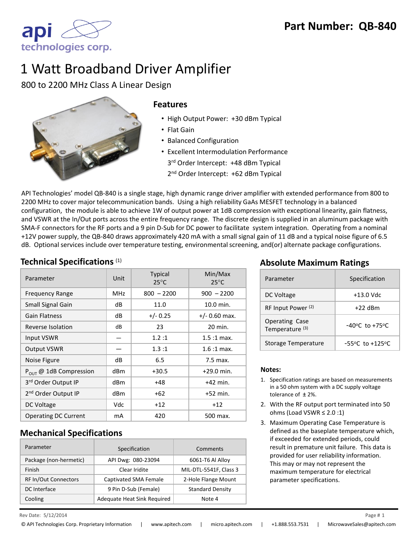

# 1 Watt Broadband Driver Amplifier

800 to 2200 MHz Class A Linear Design



#### **Features**

- High Output Power: +30 dBm Typical
- Flat Gain
- Balanced Configuration
- Excellent Intermodulation Performance 3<sup>rd</sup> Order Intercept: +48 dBm Typical
	- 2<sup>nd</sup> Order Intercept: +62 dBm Typical

API Technologies' model QB-840 is a single stage, high dynamic range driver amplifier with extended performance from 800 to 2200 MHz to cover major telecommunication bands. Using a high reliability GaAs MESFET technology in a balanced configuration, the module is able to achieve 1W of output power at 1dB compression with exceptional linearity, gain flatness, and VSWR at the In/Out ports across the entire frequency range. The discrete design is supplied in an aluminum package with SMA-F connectors for the RF ports and a 9 pin D-Sub for DC power to facilitate system integration. Operating from a nominal +12V power supply, the QB-840 draws approximately 420 mA with a small signal gain of 11 dB and a typical noise figure of 6.5 dB. Optional services include over temperature testing, environmental screening, and(or) alternate package configurations.

| Parameter                       | Unit | <b>Typical</b><br>$25^{\circ}$ C | Min/Max<br>$25^{\circ}$ C |
|---------------------------------|------|----------------------------------|---------------------------|
| <b>Frequency Range</b>          | MHz  | $800 - 2200$                     | $900 - 2200$              |
| Small Signal Gain               | dB   | 11.0                             | 10.0 min.                 |
| <b>Gain Flatness</b>            | dB   | $+/- 0.25$                       | $+/- 0.60$ max.           |
| Reverse Isolation               | dB   | 23                               | 20 min.                   |
| Input VSWR                      |      | 1.2:1                            | $1.5:1$ max.              |
| <b>Output VSWR</b>              |      | 1.3:1                            | $1.6:1$ max.              |
| Noise Figure                    | dB   | 6.5                              | 7.5 max.                  |
| $P_{OUT}$ @ 1dB Compression     | dBm  | $+30.5$                          | $+29.0$ min.              |
| 3rd Order Output IP             | dBm  | +48                              | $+42$ min.                |
| 2 <sup>nd</sup> Order Output IP | dBm  | $+62$                            | $+52$ min.                |
| DC Voltage                      | Vdc  | $+12$                            | $+12$                     |
| <b>Operating DC Current</b>     | mA   | 420                              | 500 max.                  |

### **Mechanical Specifications**

| Parameter                   | Specification               | Comments                |
|-----------------------------|-----------------------------|-------------------------|
| Package (non-hermetic)      | API Dwg: 080-23094          | 6061-T6 Al Alloy        |
| Finish                      | Clear Iridite               | MIL-DTL-5541F, Class 3  |
| <b>RF In/Out Connectors</b> | Captivated SMA Female       | 2-Hole Flange Mount     |
| <b>DC</b> Interface         | 9 Pin D-Sub (Female)        | <b>Standard Density</b> |
| Cooling                     | Adequate Heat Sink Required | Note 4                  |

#### **Technical Specifications** (1) **Technical Specifications** (1) **Absolute Maximum Ratings**

| Parameter                                           | Specification                       |
|-----------------------------------------------------|-------------------------------------|
| DC Voltage                                          | $+13.0$ Vdc                         |
| RF Input Power <sup>(2)</sup>                       | $+22$ dBm                           |
| <b>Operating Case</b><br>Temperature <sup>(3)</sup> | $-40^{\circ}$ C to $+75^{\circ}$ C  |
| Storage Temperature                                 | $-55^{\circ}$ C to $+125^{\circ}$ C |

#### **Notes:**

- 1. Specification ratings are based on measurements in a 50 ohm system with a DC supply voltage tolerance of ± 2%.
- 2. With the RF output port terminated into 50 ohms (Load VSWR  $\leq 2.0$  :1)
- 3. Maximum Operating Case Temperature is defined as the baseplate temperature which, if exceeded for extended periods, could result in premature unit failure. This data is provided for user reliability information. This may or may not represent the maximum temperature for electrical parameter specifications.

 $\mathsf{Re} \mathsf{V}$  Date:  $5/12/2014$   $\mathsf{Page} \ \sharp \ \mathsf{1}$ 5/12/2014 1